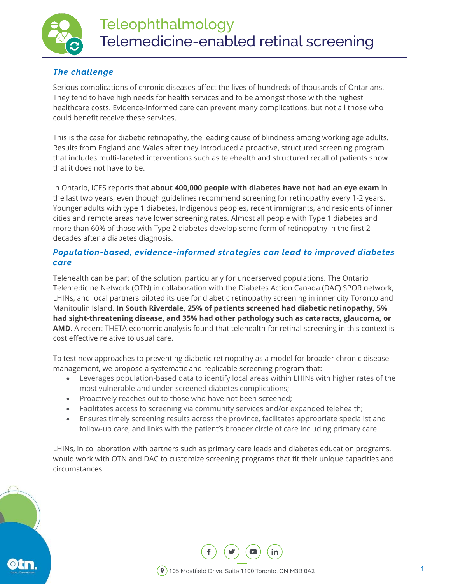

# *The challenge*

Serious complications of chronic diseases affect the lives of hundreds of thousands of Ontarians. They tend to have high needs for health services and to be amongst those with the highest healthcare costs. Evidence-informed care can prevent many complications, but not all those who could benefit receive these services.

This is the case for diabetic retinopathy, the leading cause of blindness among working age adults. [Results from England and Wales](https://www.ncbi.nlm.nih.gov/pmc/articles/PMC3927710/) after they introduced a proactive, structured screening program that includes multi-faceted interventions such as telehealth and structured recall of patients show that it does not have to be.

In Ontario, ICES reports that **[about 400,000 people with diabetes](http://www.ices.on.ca/Publications/Atlases-and-Reports/2016/Variations-in-Quality-Indicators-Across-Ontario-Physician-Networks) have not had an eye exam** in the last two years, even though guidelines recommend screening for retinopathy every 1-2 years. Younger adults with type 1 diabetes, [Indigenous peoples,](http://www.canadianjournalofdiabetes.com/article/S1499-2671(13)00047-6/pdf) [recent immigrants,](http://www.ices.on.ca/Publications/Journal-Articles/2017/January/Inadequate-screening-for-retinopathy-among-recent-immigrants-with-type-2-diabetes) and [residents of inner](http://www.ices.on.ca/Publications/Atlases-and-Reports/2016/Variations-in-Quality-Indicators-Across-Ontario-Physician-Networks)  [cities and remote areas](http://www.ices.on.ca/Publications/Atlases-and-Reports/2016/Variations-in-Quality-Indicators-Across-Ontario-Physician-Networks) have lower screening rates. [Almost all people with Type 1 diabetes and](http://www.health.gov.on.ca/en/pro/programs/ecfa/docs/qbp_retinal.pdf)  [more than 60% of those with Type 2 diabetes](http://www.health.gov.on.ca/en/pro/programs/ecfa/docs/qbp_retinal.pdf) develop some form of retinopathy in the first 2 decades after a diabetes diagnosis.

#### *Population-based, evidence-informed strategies can lead to improved diabetes care*

Telehealth can be part of the solution, particularly for underserved populations. The Ontario Telemedicine Network (OTN) in collaboration with the Diabetes Action Canada (DAC) SPOR network, LHINs, and local partners piloted its use for diabetic retinopathy screening in inner city Toronto and Manitoulin Island. **In South Riverdale, 25% of patients screened had diabetic retinopathy, 5% had sight-threatening disease, and 35% had other pathology such as cataracts, glaucoma, or AMD**. A recent THETA economic analysis found that telehealth for retinal screening in this context is cost effective relative to usual care.

To test new approaches to preventing diabetic retinopathy as a model for broader chronic disease management, we propose a systematic and replicable screening program that:

- Leverages population-based data to identify local areas within LHINs with higher rates of the most vulnerable and under-screened diabetes complications;
- Proactively reaches out to those who have not been screened;
- Facilitates access to screening via community services and/or expanded telehealth;
- Ensures timely screening results across the province, facilitates appropriate specialist and follow-up care, and links with the patient's broader circle of care including primary care.

LHINs, in collaboration with partners such as primary care leads and diabetes education programs, would work with OTN and DAC to customize screening programs that fit their unique capacities and circumstances.

1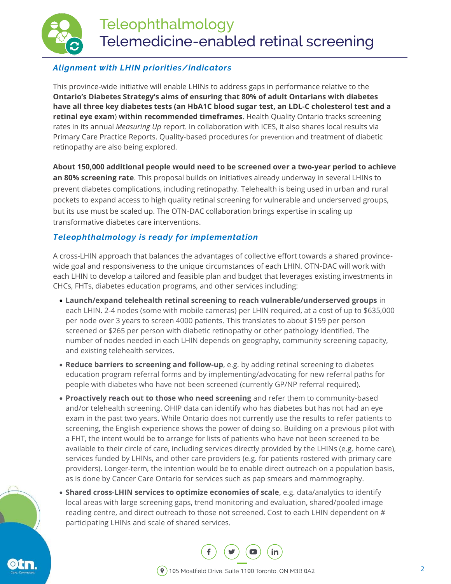

# *Alignment with LHIN priorities/indicators*

This province-wide initiative will enable LHINs to address gaps in performance relative to the **[Ontario's](https://news.ontario.ca/mohltc/en/2012/11/ontario-diabetes-strategy-1.html) [Diabetes](https://news.ontario.ca/mohltc/en/2012/11/ontario-diabetes-strategy-1.html) [Strategy's](https://news.ontario.ca/mohltc/en/2012/11/ontario-diabetes-strategy-1.html) aims of ensuring that 80% of adult Ontarians with diabetes have all three key diabetes tests (an HbA1C blood sugar test, an LDL-C cholesterol test and a retinal eye exam**) **within recommended timeframes**. Health Quality Ontario tracks screening rates in its annual *Measuring Up* report. In collaboration with ICES, it also shares local results via Primary Care Practice Reports. [Quality-based procedures](http://www.health.gov.on.ca/en/pro/programs/ecfa/docs/qbp_retinal.pdf) for prevention and treatment of diabetic retinopathy are also being explored.

**About 150,000 additional people would need to be screened over a two-year period to achieve an 80% screening rate**. This proposal builds on initiatives already underway in several LHINs to prevent diabetes complications, including retinopathy. Telehealth is being used in urban and rural pockets to expand access to high quality retinal screening for vulnerable and underserved groups, but its use must be scaled up. The OTN-DAC collaboration brings expertise in scaling up transformative diabetes care interventions.

# *Teleophthalmology is ready for implementation*

A cross-LHIN approach that balances the advantages of collective effort towards a shared provincewide goal and responsiveness to the unique circumstances of each LHIN. OTN-DAC will work with each LHIN to develop a tailored and feasible plan and budget that leverages existing investments in CHCs, FHTs, diabetes education programs, and other services including:

- **Launch/expand telehealth retinal screening to reach vulnerable/underserved groups** in each LHIN. 2-4 nodes (some with mobile cameras) per LHIN required, at a cost of up to \$635,000 per node over 3 years to screen 4000 patients. This translates to about \$159 per person screened or \$265 per person with diabetic retinopathy or other pathology identified. The number of nodes needed in each LHIN depends on geography, community screening capacity, and existing telehealth services.
- **Reduce barriers to screening and follow-up**, e.g. by adding retinal screening to diabetes education program referral forms and by implementing/advocating for new referral paths for people with diabetes who have not been screened (currently GP/NP referral required).
- **Proactively reach out to those who need screening** and refer them to community-based and/or telehealth screening. OHIP data can identify who has diabetes but has not had an eye exam in the past two years. While Ontario does not currently use the results to refer patients to screening, the English experience shows the power of doing so. Building on a previous pilot with a FHT, the intent would be to arrange for lists of patients who have not been screened to be available to their circle of care, including services directly provided by the LHINs (e.g. home care), services funded by LHINs, and other care providers (e.g. for patients rostered with primary care providers). Longer-term, the intention would be to enable direct outreach on a population basis, as is done by Cancer Care Ontario for services such as pap smears and mammography.
- **Shared cross-LHIN services to optimize economies of scale**, e.g. data/analytics to identify local areas with large screening gaps, trend monitoring and evaluation, shared/pooled image reading centre, and direct outreach to those not screened. Cost to each LHIN dependent on # participating LHINs and scale of shared services.